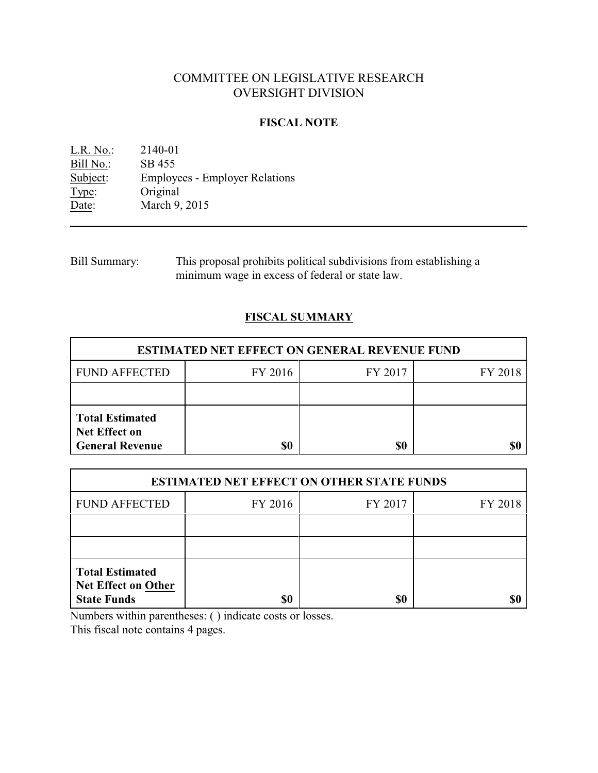# COMMITTEE ON LEGISLATIVE RESEARCH OVERSIGHT DIVISION

## **FISCAL NOTE**

L.R. No.: 2140-01 Bill No.: SB 455<br>Subject: Employees Subject: Employees - Employer Relations<br>Type: Original Type: Original<br>Date: March 9. March 9, 2015

Bill Summary: This proposal prohibits political subdivisions from establishing a minimum wage in excess of federal or state law.

# **FISCAL SUMMARY**

| <b>ESTIMATED NET EFFECT ON GENERAL REVENUE FUND</b>                      |         |         |         |  |
|--------------------------------------------------------------------------|---------|---------|---------|--|
| <b>FUND AFFECTED</b>                                                     | FY 2016 | FY 2017 | FY 2018 |  |
|                                                                          |         |         |         |  |
| <b>Total Estimated</b><br><b>Net Effect on</b><br><b>General Revenue</b> | \$0     | \$0     |         |  |

| <b>ESTIMATED NET EFFECT ON OTHER STATE FUNDS</b>                           |         |         |         |  |
|----------------------------------------------------------------------------|---------|---------|---------|--|
| <b>FUND AFFECTED</b>                                                       | FY 2016 | FY 2017 | FY 2018 |  |
|                                                                            |         |         |         |  |
|                                                                            |         |         |         |  |
| <b>Total Estimated</b><br><b>Net Effect on Other</b><br><b>State Funds</b> | \$0     | \$0     |         |  |

Numbers within parentheses: ( ) indicate costs or losses.

This fiscal note contains 4 pages.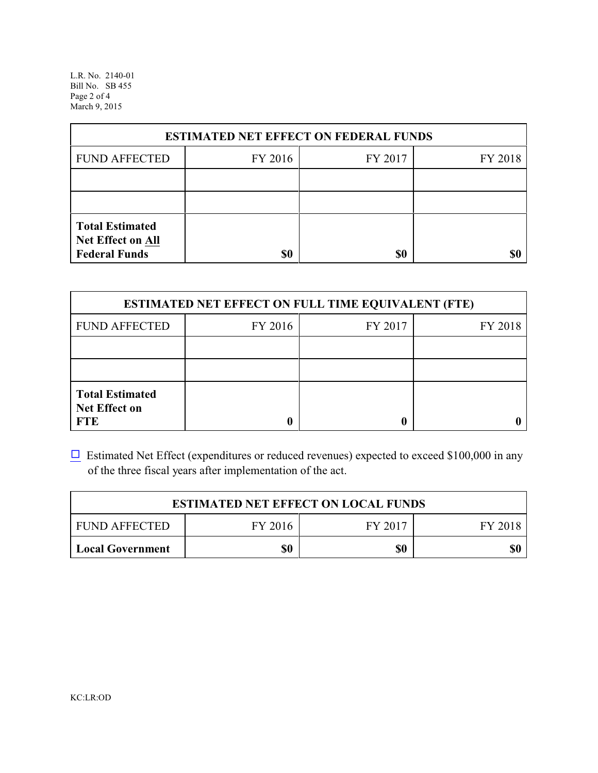L.R. No. 2140-01 Bill No. SB 455 Page 2 of 4 March 9, 2015

| <b>ESTIMATED NET EFFECT ON FEDERAL FUNDS</b>                        |         |         |         |  |
|---------------------------------------------------------------------|---------|---------|---------|--|
| <b>FUND AFFECTED</b>                                                | FY 2016 | FY 2017 | FY 2018 |  |
|                                                                     |         |         |         |  |
|                                                                     |         |         |         |  |
| <b>Total Estimated</b><br>Net Effect on All<br><b>Federal Funds</b> | \$0     | \$0     |         |  |

| <b>ESTIMATED NET EFFECT ON FULL TIME EQUIVALENT (FTE)</b>    |         |         |         |  |
|--------------------------------------------------------------|---------|---------|---------|--|
| <b>FUND AFFECTED</b>                                         | FY 2016 | FY 2017 | FY 2018 |  |
|                                                              |         |         |         |  |
|                                                              |         |         |         |  |
| <b>Total Estimated</b><br><b>Net Effect on</b><br><b>FTE</b> |         |         |         |  |

 $\Box$  Estimated Net Effect (expenditures or reduced revenues) expected to exceed \$100,000 in any of the three fiscal years after implementation of the act.

| <b>ESTIMATED NET EFFECT ON LOCAL FUNDS</b> |         |         |         |  |
|--------------------------------------------|---------|---------|---------|--|
| <b>FUND AFFECTED</b>                       | FY 2016 | FY 2017 | FY 2018 |  |
| <b>Local Government</b>                    | \$0     | \$0     | \$0     |  |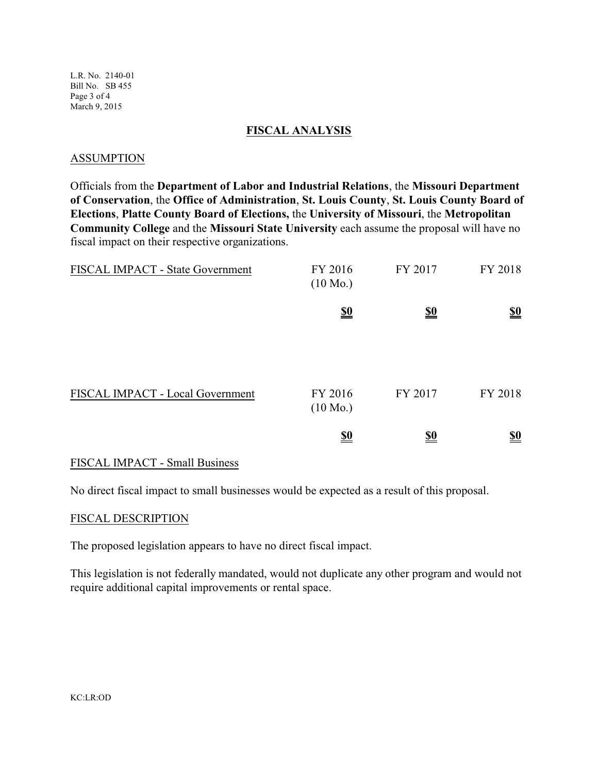L.R. No. 2140-01 Bill No. SB 455 Page 3 of 4 March 9, 2015

### **FISCAL ANALYSIS**

### ASSUMPTION

Officials from the **Department of Labor and Industrial Relations**, the **Missouri Department of Conservation**, the **Office of Administration**, **St. Louis County**, **St. Louis County Board of Elections**, **Platte County Board of Elections,** the **University of Missouri**, the **Metropolitan Community College** and the **Missouri State University** each assume the proposal will have no fiscal impact on their respective organizations.

| FISCAL IMPACT - State Government | FY 2016<br>$(10 \text{ Mo.})$ | FY 2017                       | FY 2018                       |
|----------------------------------|-------------------------------|-------------------------------|-------------------------------|
|                                  | $\underline{\underline{\$0}}$ | $\underline{\underline{\$0}}$ | $\underline{\underline{\$0}}$ |
| FISCAL IMPACT - Local Government | FY 2016<br>$(10 \text{ Mo.})$ | FY 2017                       | FY 2018                       |
|                                  | <u>so</u>                     | <u>\$0</u>                    | $\underline{\underline{\$0}}$ |

### FISCAL IMPACT - Small Business

No direct fiscal impact to small businesses would be expected as a result of this proposal.

### FISCAL DESCRIPTION

The proposed legislation appears to have no direct fiscal impact.

This legislation is not federally mandated, would not duplicate any other program and would not require additional capital improvements or rental space.